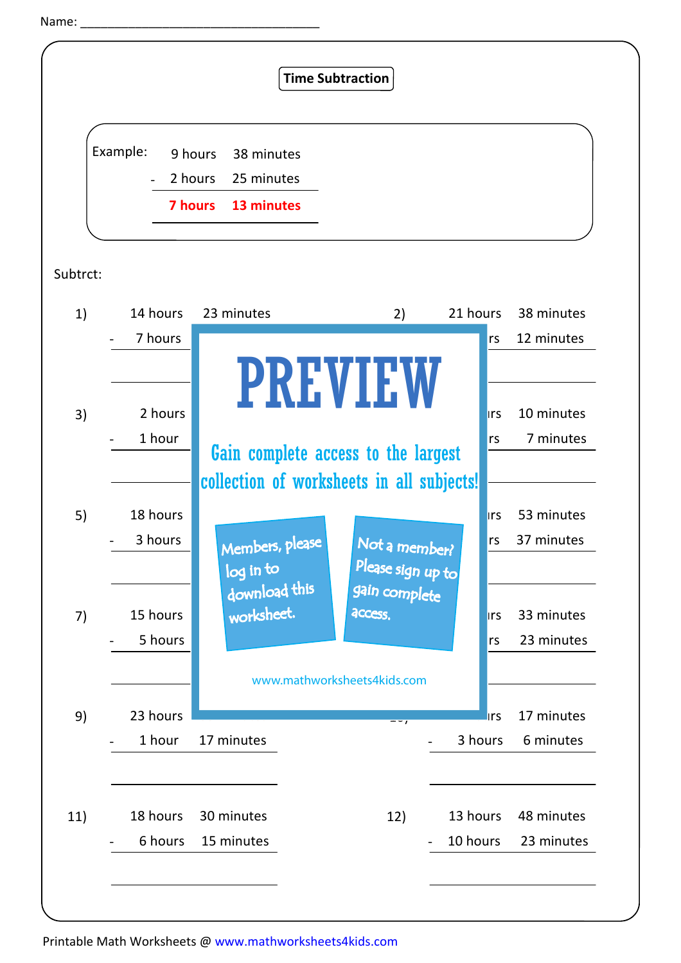```
Name:
```